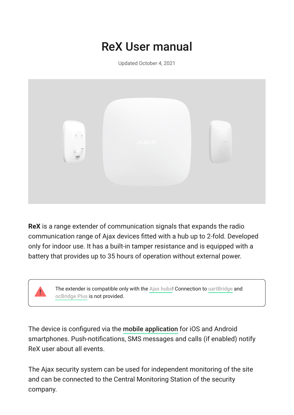# ReX User manual

Updated October 4, 2021



**ReX** is a range extender of communication signals that expands the radio communication range of Ajax devices fitted with a hub up to 2-fold. Developed only for indoor use. It has a built-in tamper resistance and is equipped with a battery that provides up to 35 hours of operation without external power.



Thedevice is configured via the mobile application for iOS and Android smartphones. Push-notifications, SMS messages and calls (if enabled) notify ReX user about all events.

The Ajax security system can be used for independent monitoring of the site and can be connected to the Central Monitoring Station of the security company.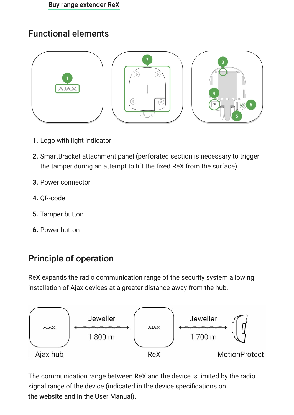### Functional elements



- **1.** Logo with light indicator
- **2.** SmartBracket attachment panel (perforated section is necessary to trigger the tamper during an attempt to lift the fixed ReX from the surface)
- **3.** Power connector
- **4.** QR-code
- **5.** Tamper button
- **6.** Power button

## Principle of operation

ReX expands the radio communication range of the security system allowing installation of Ajax devices at a greater distance away from the hub.



The communication range between ReX and the device is limited by the radio signal range of the device (indicated in the device specifications on the [website](https://ajax.systems/products/) and in the User Manual).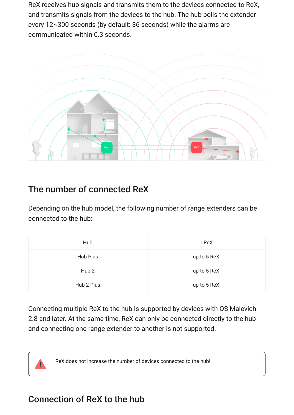ReX receives hub signals and transmits them to the devices connected to ReX, and transmits signals from the devices to the hub. The hub polls the extender every 12~300 seconds (by default: 36 seconds) while the alarms are communicated within 0.3 seconds.



### The number of connected ReX

Depending on the hub model, the following number of range extenders can be connected to the hub:

| Hub              | 1 ReX       |
|------------------|-------------|
| Hub Plus         | up to 5 ReX |
| Hub <sub>2</sub> | up to 5 ReX |
| Hub 2 Plus       | up to 5 ReX |

Connecting multiple ReX to the hub is supported by devices with OS Malevich 2.8 and later. At the same time, ReX can only be connected directly to the hub and connecting one range extender to another is not supported.

ReX does not increase the number of devices connected to the hub!

### Connection of ReX to the hub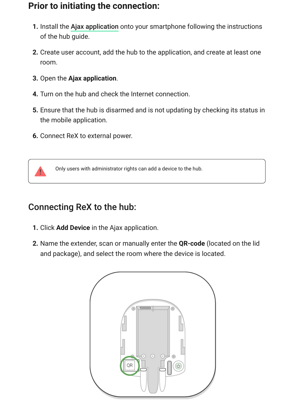### **Prior to initiating the connection:**

- **1.**Install the Ajax application onto your smartphone following the instructions of the hub guide.
- **2.** Create user account, add the hub to the application, and create at least one room.
- **3.** Open the **Ajax application**.
- **4.** Turn on the hub and check the Internet connection.
- **5.** Ensure that the hub is disarmed and is not updating by checking its status in the mobile application.
- **6.** Connect ReX to external power.



Only users with administrator rights can add a device to the hub.

### Connecting ReX to the hub:

- **1.** Click **Add Device** in the Ajax application.
- **2.** Name the extender, scan or manually enter the **QR-code** (located on the lid and package), and select the room where the device is located.

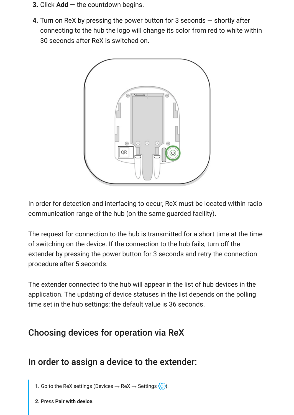- **3.** Click **Add** the countdown begins.
- **4.** Turn on ReX by pressing the power button for 3 seconds shortly after connecting to the hub the logo will change its color from red to white within 30 seconds after ReX is switched on.



In order for detection and interfacing to occur, ReX must be located within radio communication range of the hub (on the same guarded facility).

The request for connection to the hub is transmitted for a short time at the time of switching on the device. If the connection to the hub fails, turn off the extender by pressing the power button for 3 seconds and retry the connection procedure after 5 seconds.

The extender connected to the hub will appear in the list of hub devices in the application. The updating of device statuses in the list depends on the polling time set in the hub settings; the default value is 36 seconds.

### Choosing devices for operation via ReX

### In order to assign a device to the extender:

**1.** Go to the ReX settings (Devices  $\rightarrow$  ReX  $\rightarrow$  Settings  $\{\odot\}$ ).

**2.** Press **Pair with device**.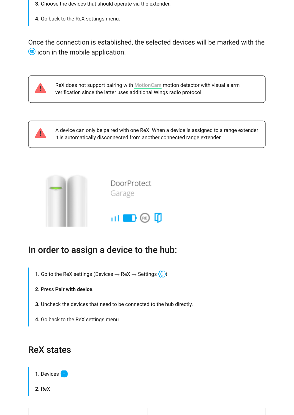- **3.** Choose the devices that should operate via the extender.
- **4.** Go back to the ReX settings menu.

Once the connection is established, the selected devices will be marked with the  $RE$  icon in the mobile application.



ReXdoes not support pairing with MotionCam motion detector with visual alarm verification since the latter uses additional Wings radio protocol.



A device can only be paired with one ReX. When a device is assigned to a range extender it is automatically disconnected from another connected range extender.



### In order to assign a device to the hub:

- 1. Go to the ReX settings (Devices → ReX → Settings  $\langle \text{Q} \rangle$ ).
- **2.** Press **Pair with device**.
- **3.** Uncheck the devices that need to be connected to the hub directly.
- **4.** Go back to the ReX settings menu.

### ReX states



**2.** ReX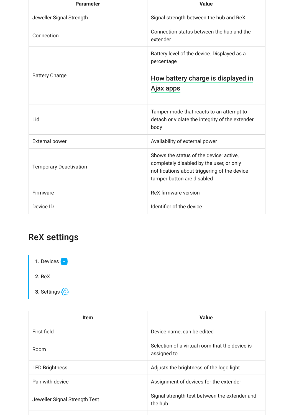| <b>Parameter</b>              | <b>Value</b>                                                                                                                                                      |
|-------------------------------|-------------------------------------------------------------------------------------------------------------------------------------------------------------------|
| Jeweller Signal Strength      | Signal strength between the hub and ReX                                                                                                                           |
| Connection                    | Connection status between the hub and the<br>extender                                                                                                             |
| <b>Battery Charge</b>         | Battery level of the device. Displayed as a<br>percentage                                                                                                         |
|                               | How battery charge is displayed in                                                                                                                                |
|                               | Ajax apps                                                                                                                                                         |
| Lid                           | Tamper mode that reacts to an attempt to<br>detach or violate the integrity of the extender<br>body                                                               |
| <b>External power</b>         | Availability of external power                                                                                                                                    |
| <b>Temporary Deactivation</b> | Shows the status of the device: active,<br>completely disabled by the user, or only<br>notifications about triggering of the device<br>tamper button are disabled |
| Firmware                      | ReX firmware version                                                                                                                                              |
| Device ID                     | Identifier of the device                                                                                                                                          |

## ReX settings



| <b>Item</b>                   | <b>Value</b>                                                  |
|-------------------------------|---------------------------------------------------------------|
| First field                   | Device name, can be edited                                    |
| Room                          | Selection of a virtual room that the device is<br>assigned to |
| <b>LED Brightness</b>         | Adjusts the brightness of the logo light                      |
| Pair with device              | Assignment of devices for the extender                        |
| Jeweller Signal Strength Test | Signal strength test between the extender and<br>the hub      |
|                               |                                                               |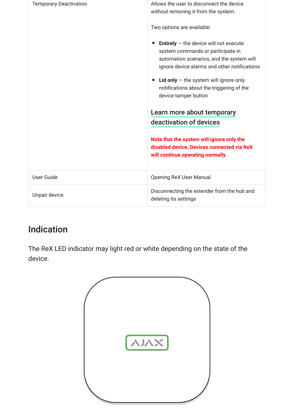| <b>Temporary Deactivation</b> | Allows the user to disconnect the device<br>without removing it from the system.                                                                                                  |
|-------------------------------|-----------------------------------------------------------------------------------------------------------------------------------------------------------------------------------|
|                               | Two options are available:                                                                                                                                                        |
|                               | <b>Entirely</b> $-$ the device will not execute<br>system commands or participate in<br>automation scenarios, and the system will<br>ignore device alarms and other notifications |
|                               | <b>Lid only</b> $-$ the system will ignore only<br>notifications about the triggering of the<br>device tamper button                                                              |
|                               | Learn more about temporary                                                                                                                                                        |
|                               | deactivation of devices                                                                                                                                                           |
|                               | Note that the system will ignore only the<br>disabled device. Devices connected via ReX<br>will continue operating normally                                                       |
| <b>User Guide</b>             | <b>Opening ReX User Manual</b>                                                                                                                                                    |
| Unpair device                 | Disconnecting the extender from the hub and<br>deleting its settings                                                                                                              |

## Indication

The ReX LED indicator may light red or white depending on the state of the device.

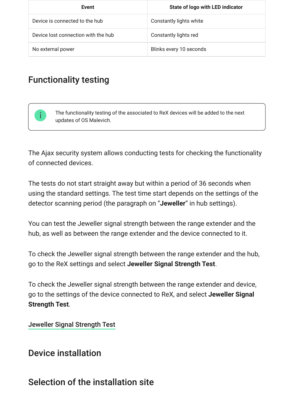| Event                               | <b>State of logo with LED indicator</b> |
|-------------------------------------|-----------------------------------------|
| Device is connected to the hub      | Constantly lights white                 |
| Device lost connection with the hub | Constantly lights red                   |
| No external power                   | Blinks every 10 seconds                 |

## Functionality testing

The functionality testing of the associated to ReX devices will be added to the next updates of OS Malevich.

The Ajax security system allows conducting tests for checking the functionality of connected devices.

The tests do not start straight away but within a period of 36 seconds when using the standard settings. The test time start depends on the settings of the detector scanning period (the paragraph on "**Jeweller**" in hub settings).

You can test the Jeweller signal strength between the range extender and the hub, as well as between the range extender and the device connected to it.

To check the Jeweller signal strength between the range extender and the hub, go to the ReX settings and select **Jeweller Signal Strength Test**.

To check the Jeweller signal strength between the range extender and device, go to the settings of the device connected to ReX, and select **Jeweller Signal Strength Test**.

[Jeweller Signal Strength Test](https://support.ajax.systems/en/what-is-signal-strenght-test/)

### Device installation

### Selection of the installation site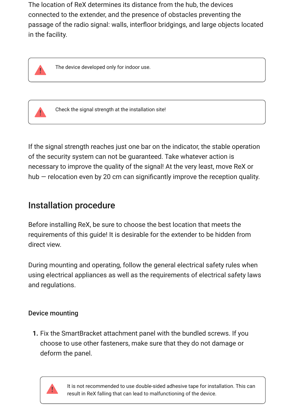The location of ReX determines its distance from the hub, the devices connected to the extender, and the presence of obstacles preventing the passage of the radio signal: walls, interfloor bridgings, and large objects located in the facility.



The device developed only for indoor use.



Check the signal strength at the installation site!

If the signal strength reaches just one bar on the indicator, the stable operation of the security system can not be guaranteed. Take whatever action is necessary to improve the quality of the signal! At the very least, move ReX or hub — relocation even by 20 cm can significantly improve the reception quality.

### Installation procedure

Before installing ReX, be sure to choose the best location that meets the requirements of this guide! It is desirable for the extender to be hidden from direct view.

During mounting and operating, follow the general electrical safety rules when using electrical appliances as well as the requirements of electrical safety laws and regulations.

#### Device mounting

**1.** Fix the SmartBracket attachment panel with the bundled screws. If you choose to use other fasteners, make sure that they do not damage or deform the panel.



It is not recommended to use double-sided adhesive tape for installation. This can result in ReX falling that can lead to malfunctioning of the device.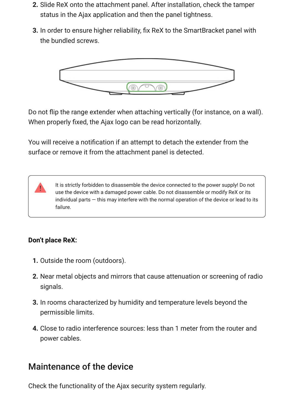- **2.** Slide ReX onto the attachment panel. After installation, check the tamper status in the Ajax application and then the panel tightness.
- **3.** In order to ensure higher reliability, fix ReX to the SmartBracket panel with the bundled screws.



Do not flip the range extender when attaching vertically (for instance, on a wall). When properly fixed, the Ajax logo can be read horizontally.

You will receive a notification if an attempt to detach the extender from the surface or remove it from the attachment panel is detected.

> It is strictly forbidden to disassemble the device connected to the power supply! Do not use the device with a damaged power cable. Do not disassemble or modify ReX or its individual parts — this may interfere with the normal operation of the device or lead to its failure.

#### **Don't place ReX:**

- **1.** Outside the room (outdoors).
- **2.** Near metal objects and mirrors that cause attenuation or screening of radio signals.
- **3.** In rooms characterized by humidity and temperature levels beyond the permissible limits.
- **4.** Close to radio interference sources: less than 1 meter from the router and power cables.

### Maintenance of the device

Check the functionality of the Ajax security system regularly.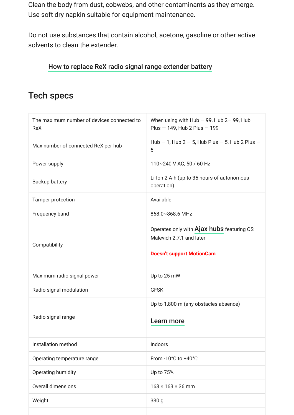Clean the body from dust, cobwebs, and other contaminants as they emerge. Use soft dry napkin suitable for equipment maintenance.

Do not use substances that contain alcohol, acetone, gasoline or other active solvents to clean the extender.

#### [How to replace ReX radio signal range extender battery](https://support.ajax.systems/en/how-to-replace-hub-accumulator/)

### Tech specs

| The maximum number of devices connected to<br><b>ReX</b> | When using with Hub $-$ 99, Hub 2 $-$ 99, Hub<br>Plus - 149, Hub 2 Plus - 199                             |
|----------------------------------------------------------|-----------------------------------------------------------------------------------------------------------|
| Max number of connected ReX per hub                      | Hub $-$ 1, Hub 2 $-$ 5, Hub Plus $-$ 5, Hub 2 Plus $-$<br>5                                               |
| Power supply                                             | 110~240 V AC, 50 / 60 Hz                                                                                  |
| Backup battery                                           | Li-lon 2 A·h (up to 35 hours of autonomous<br>operation)                                                  |
| Tamper protection                                        | Available                                                                                                 |
| Frequency band                                           | 868.0~868.6 MHz                                                                                           |
| Compatibility                                            | Operates only with Ajax hubs featuring OS<br>Malevich 2.7.1 and later<br><b>Doesn't support MotionCam</b> |
| Maximum radio signal power                               | Up to 25 mW                                                                                               |
| Radio signal modulation                                  | <b>GFSK</b>                                                                                               |
| Radio signal range                                       | Up to 1,800 m (any obstacles absence)<br>Learn more                                                       |
| Installation method                                      | Indoors                                                                                                   |
| Operating temperature range                              | From -10°C to +40°C                                                                                       |
| Operating humidity                                       | Up to 75%                                                                                                 |
| Overall dimensions                                       | $163 \times 163 \times 36$ mm                                                                             |
| Weight                                                   | 330 g                                                                                                     |
|                                                          |                                                                                                           |